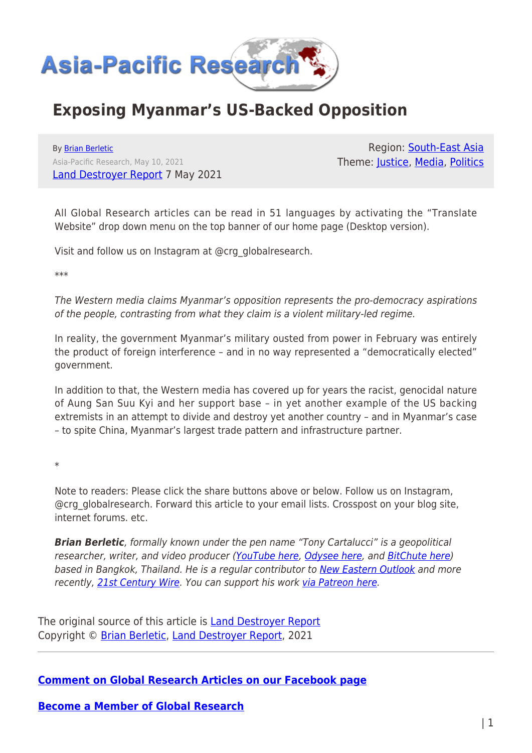

## **Exposing Myanmar's US-Backed Opposition**

By [Brian Berletic](https://www.asia-pacificresearch.com/author/brian-berletic) Asia-Pacific Research, May 10, 2021 [Land Destroyer Report](https://landdestroyer.blogspot.com/2021/05/exposing-myanmars-us-backed-opposition.html) 7 May 2021

Region: [South-East Asia](https://www.asia-pacificresearch.com/region/south-east-asia) Theme: [Justice](https://www.asia-pacificresearch.com/theme/justice-2), [Media,](https://www.asia-pacificresearch.com/theme/as-media) [Politics](https://www.asia-pacificresearch.com/theme/politics)

All Global Research articles can be read in 51 languages by activating the "Translate Website" drop down menu on the top banner of our home page (Desktop version).

Visit and follow us on Instagram at @crg\_globalresearch.

\*\*\*

The Western media claims Myanmar's opposition represents the pro-democracy aspirations of the people, contrasting from what they claim is a violent military-led regime.

In reality, the government Myanmar's military ousted from power in February was entirely the product of foreign interference – and in no way represented a "democratically elected" government.

In addition to that, the Western media has covered up for years the racist, genocidal nature of Aung San Suu Kyi and her support base – in yet another example of the US backing extremists in an attempt to divide and destroy yet another country – and in Myanmar's case – to spite China, Myanmar's largest trade pattern and infrastructure partner.

\*

Note to readers: Please click the share buttons above or below. Follow us on Instagram, @crg\_globalresearch. Forward this article to your email lists. Crosspost on your blog site, internet forums. etc.

**Brian Berletic**, formally known under the pen name "Tony Cartalucci" is a geopolitical researcher, writer, and video producer [\(YouTube here,](https://www.youtube.com/user/LandDestroyerReport/videos) [Odysee here](https://odysee.com/@LandDestroyer:8), and [BitChute here](https://www.bitchute.com/channel/p1PHLxwo22S3/)) based in Bangkok, Thailand. He is a regular contributor to [New Eastern Outlook](https://journal-neo.org/) and more recently, [21st Century Wire](https://21stcenturywire.com/). You can support his work [via Patreon here](https://www.patreon.com/landdestroyer).

The original source of this article is [Land Destroyer Report](https://landdestroyer.blogspot.com/2021/05/exposing-myanmars-us-backed-opposition.html) Copyright © [Brian Berletic,](https://www.asia-pacificresearch.com/author/brian-berletic) [Land Destroyer Report,](https://landdestroyer.blogspot.com/2021/05/exposing-myanmars-us-backed-opposition.html) 2021

**[Comment on Global Research Articles on our Facebook page](https://www.facebook.com/GlobalResearchCRG)**

**[Become a Member of Global Research](https://store.globalresearch.ca/member/)**